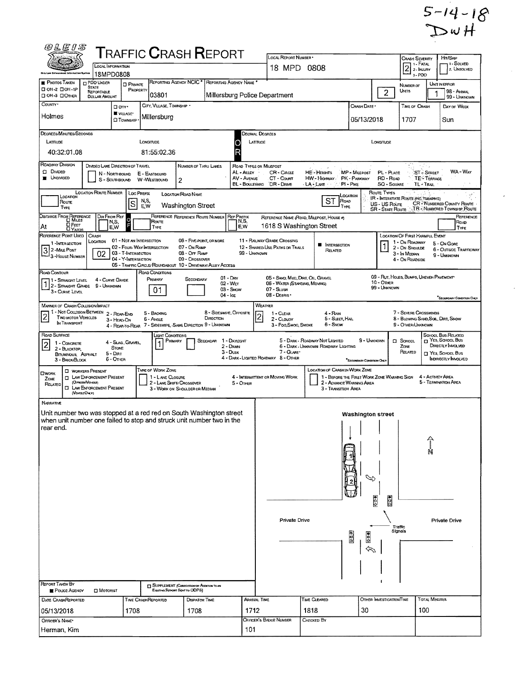$5-14-18$ <br>DwH

 $\hat{\mathbf{z}}$ 

 $\bar{\star}$ 

| <i>(VLEI</i> )                                                                                                                               |                                                                                                              |                                                                               |                              |                                       |                                                                                      | $\sf{T}$ RAFFIC $\sf{C}$ RASH $\sf{R}$ EPORT                                                       |                                             | LOCAL REPORT NUMBER .                                             |                                                                                                                                         |                                          |                                                      | <b>CRASH SEVERITY</b>                                                           |                                            | Hrt/Skip                                                        |
|----------------------------------------------------------------------------------------------------------------------------------------------|--------------------------------------------------------------------------------------------------------------|-------------------------------------------------------------------------------|------------------------------|---------------------------------------|--------------------------------------------------------------------------------------|----------------------------------------------------------------------------------------------------|---------------------------------------------|-------------------------------------------------------------------|-----------------------------------------------------------------------------------------------------------------------------------------|------------------------------------------|------------------------------------------------------|---------------------------------------------------------------------------------|--------------------------------------------|-----------------------------------------------------------------|
|                                                                                                                                              |                                                                                                              | LOCAL INFORMATION                                                             |                              |                                       |                                                                                      |                                                                                                    |                                             | 18 MPD 0808                                                       |                                                                                                                                         |                                          |                                                      | $\overline{2}$                                                                  | 1 - Fatal<br>2 - INJURY                    | <sub>i</sub> i - Solved<br>2. UNSOLVED                          |
| <b>E</b> PHOTOS TAKEN                                                                                                                        | <b>CI POO UNDER</b>                                                                                          | 18MPD0808<br><b>O</b> PRIVATE                                                 |                              |                                       |                                                                                      | REPORTING AGENCY NCIC <sup>*</sup> REPORTING AGENCY NAME <sup>*</sup>                              |                                             |                                                                   |                                                                                                                                         |                                          |                                                      | NUMBER OF                                                                       | 3-PDO                                      | UNIT IN ERROR                                                   |
| □ 0H-2 □ 0H-1P<br><b>OOH-3 OOTHER</b>                                                                                                        | STATE<br>REPORTABLE<br>DOLLAR AMOUNT                                                                         |                                                                               | PROPERTY                     | 03801                                 |                                                                                      |                                                                                                    |                                             | Millersburg Police Department                                     |                                                                                                                                         |                                          | $\overline{2}$                                       | Units                                                                           |                                            | 98 - ANIMAL<br>99 - UNKNOWN                                     |
| COUNTY <sup>.</sup>                                                                                                                          |                                                                                                              | O any-                                                                        |                              | CITY, VILLAGE, TOWNSHIP .             |                                                                                      |                                                                                                    |                                             |                                                                   |                                                                                                                                         | Crash Date *                             |                                                      | TIME OF CRASH                                                                   |                                            | DAY OF WEEK                                                     |
| Holmes                                                                                                                                       |                                                                                                              | WILLAGE*<br><b>CI TOWNSHIP</b>                                                |                              | Millersburg                           |                                                                                      |                                                                                                    |                                             |                                                                   |                                                                                                                                         | 05/13/2018                               |                                                      | 1707                                                                            |                                            | Sun                                                             |
| DEGREES/MINUTES/SECONDS<br>LATTUDE                                                                                                           |                                                                                                              |                                                                               | LONGITUDE                    |                                       |                                                                                      |                                                                                                    |                                             | Decimal Degrees<br>LATITUDE                                       |                                                                                                                                         |                                          | LONGITUDE                                            |                                                                                 |                                            |                                                                 |
| 40:32:01.08                                                                                                                                  |                                                                                                              |                                                                               |                              | 81:55:02.36                           |                                                                                      |                                                                                                    | R                                           |                                                                   |                                                                                                                                         |                                          |                                                      |                                                                                 |                                            |                                                                 |
| ROADWAY DIVISION                                                                                                                             |                                                                                                              | DIVIDED LANE DIRECTION OF TRAVEL                                              |                              |                                       | NUMBER OF THRU LANES                                                                 |                                                                                                    |                                             | <b>ROAD TYPES OR MILEPOST</b>                                     |                                                                                                                                         |                                          |                                                      |                                                                                 |                                            |                                                                 |
| CI DIMOED<br><b>UNDIVIDED</b>                                                                                                                |                                                                                                              | N - NORTHBOUND<br>S - SouthBound                                              | E - EASTBOUND<br>W-WESTBOUND |                                       | 2                                                                                    |                                                                                                    | AL - ALLEY<br>AV - AVENUE<br>BL - BOULEVARD | CR-Cincle<br>CT - COURT<br>DR-Dave                                | <b>HE-HEIGHTS</b><br>HW - Highway<br>LA LANE                                                                                            | MP - MILEPOST<br>PK - PARKWAY<br>PI-PIKE | PL - PLACE<br>RD - Roap<br><b>SQ - SOUARE</b>        |                                                                                 | <b>ST-STREET</b><br>TE-TERRACE<br>TL-TRAIL | WA - WAY                                                        |
| LOCATION<br>Route                                                                                                                            | <b>LOCATION ROUTE NUMBER</b>                                                                                 |                                                                               | <b>LOC PREFIX</b><br>N,S,    |                                       | LOCATION ROAD NAME                                                                   |                                                                                                    |                                             |                                                                   | ST<br>ROAD                                                                                                                              | LOCATION                                 | ROUTE TYPES<br>IR - INTERSTATE ROUTE (INC. TURNPIKE) |                                                                                 |                                            |                                                                 |
| TYPE                                                                                                                                         |                                                                                                              | S                                                                             | EW                           |                                       | Washington Street                                                                    |                                                                                                    |                                             |                                                                   | TYPE                                                                                                                                    |                                          | US - US Route<br><b>SR - STATE ROUTE</b>             |                                                                                 |                                            | <b>CR-NUMBERED COUNTY ROUTE</b><br>TR - NUMBERED TOWNSHIP ROUTE |
| DISTANCE FROM REFERENCE<br><b>O</b> Feet<br>At                                                                                               |                                                                                                              | DIR FROM REF<br>Ō<br>N,S,<br>E,W                                              |                              | Route<br>TYPE                         | REFERENCE REFERENCE ROUTE NUMBER                                                     |                                                                                                    | <b>REF PREFIX</b><br>N,S,<br>E,W            | 1618 S Washington Street                                          | REFERENCE NAME (ROAD, MILEPOST, HOUSE #)                                                                                                |                                          |                                                      |                                                                                 |                                            | REFERENCE<br>ROAD<br>TYPE                                       |
| <b>CIYARDS</b><br>REFERENCE POINT USED                                                                                                       | CRASH                                                                                                        |                                                                               |                              |                                       |                                                                                      |                                                                                                    |                                             | 11 - RAILWAY GRADE CROSSING                                       |                                                                                                                                         |                                          |                                                      | LOCATION OF FIRST HARMFUL EVENT                                                 |                                            |                                                                 |
| 1-INTERSECTION<br>3 2-Mile Post                                                                                                              | LOCATION                                                                                                     | 01 - Not an Intersection<br>02 - FOUR-WAY INTERSECTION<br>03 - T-INTERSECTION |                              |                                       | 05 - FIVE-POINT, OR MORE<br>07 - On RAMP<br>08 - OFF RAMP                            |                                                                                                    | 99 - UNKNOWN                                | 12 - SHARED-USE PATHS OR TRAILS                                   | <b>NE INTERSECTION</b><br>Related                                                                                                       |                                          | $\overline{1}$                                       | 1 - On ROADWAY<br>2 - ON SHOULDE                                                |                                            | 5 - On Gore<br>6 - Outside Trafficway                           |
| <sup>1</sup> 3 - House Number                                                                                                                | 02                                                                                                           | 04 - Y-INTERSECTION                                                           |                              |                                       | 09 - Crossover                                                                       | 05 - TRAFFIC CIRCLE/ROUNDABOUT 10 - DRIVEWAY/ALLEY ACCESS                                          |                                             |                                                                   |                                                                                                                                         |                                          |                                                      | 3 - In Median<br>4 - On ROADSIDE                                                |                                            | 9 - Unknown                                                     |
| ROAD CONTOUR                                                                                                                                 |                                                                                                              |                                                                               |                              | ROAD CONDITIONS                       |                                                                                      |                                                                                                    | $01 - DHV$                                  | 05 - SAND, MUD, DIRT, OIL, GRAVEL                                 |                                                                                                                                         |                                          | 09 - RUT, HOLES, BUMPS, UNEVEN PAVEMENT              |                                                                                 |                                            |                                                                 |
| 1 - Straght Level<br>2 - STRAIGHT GRADE<br>3 - CURVE LEVEL                                                                                   | 9 - UNKNOWN                                                                                                  | 4 - CURVE GRADE                                                               |                              | PRIMARY<br>01                         | SECONDARY                                                                            | 04 - Ice                                                                                           | 02 - Wer<br>03 - Swow                       | 05 - WATER (STANDING, MOVING)<br>07 - Stush<br>08 - DEBRIS        |                                                                                                                                         |                                          | 10 - Отнев<br>99 - UNKNOWN                           |                                                                                 |                                            | "SECONDARY CONDITION ONLY                                       |
| MANNER OF CRASH COLLISION/IMPACT                                                                                                             |                                                                                                              |                                                                               |                              |                                       |                                                                                      |                                                                                                    |                                             | WEATHER                                                           |                                                                                                                                         |                                          |                                                      |                                                                                 |                                            |                                                                 |
| 1 - Not Collision Between 2 - Rear-End<br>$\overline{2}$<br><b>TWO MOTOR VEHICLES</b><br>IN TRANSPORT                                        |                                                                                                              | 3 - HEAD ON                                                                   |                              | 5 - BACKING<br>6 - Angle              |                                                                                      | 8 - SIDESWIPE, OPPOSITE<br>DIRECTION<br>4 - REAR TO-REAR 7 - SIDESWIPE, SAME DIRECTION 9 - UNKNOWN |                                             | 1 - CLEAR<br>$\overline{a}$<br>2 - CLOUDY<br>3 - Fog, Smog, Smoke | 4 - Ran<br>5 - SLEET, HAIL<br>6 - SNOW                                                                                                  |                                          |                                                      | 7 - SEVERE CROSSWINDS<br>8 - BLOWING SAND, SOL, DIRT, SNOW<br>9 - OTHER/UNKNOWN |                                            |                                                                 |
| ROAD SURFACE<br>1 - CONCRETE                                                                                                                 |                                                                                                              | 4 - Slag, Gravel,                                                             |                              | <b>LIGHT CONDITIONS</b><br>PRIMARY    |                                                                                      | <b>SECONDAR</b>                                                                                    | 1 - DAYLIGHT                                |                                                                   | 5 - DARK - ROADWAY NOT LIGHTED                                                                                                          | 9 - UNKNOWN                              |                                                      | C SCHODL                                                                        |                                            | SCHOOL BUS RELATED<br>T YES, SCHOOL Bus                         |
| 2<br>2 - BLACKTOP.<br>BITUMINOUS, ASPHALT                                                                                                    |                                                                                                              | <b>STONE</b><br>5 - Dirt                                                      |                              |                                       |                                                                                      |                                                                                                    | 2 - DAWN<br>3 - Dusk                        | 7 - GLARE*                                                        | 6 - DARK - UNKNOWN ROADWAY LIGHTING                                                                                                     |                                          |                                                      | ZONE<br>RELATED                                                                 |                                            | DIRECTLY INVOLVED<br>T YES, SCHOOL BUS                          |
| 3 - BRICK/BLOCK                                                                                                                              |                                                                                                              | $6 -$ Other                                                                   |                              |                                       |                                                                                      |                                                                                                    |                                             | 4 - DARK - LIGHTED ROADWAY 8 - OTHER                              |                                                                                                                                         | "SECONDARY CONDITION ONLY                |                                                      |                                                                                 |                                            | INDIRECTLY INVOLVED                                             |
| <b>OWORK</b><br>Ω.<br>ZONE<br>RELATED<br>о                                                                                                   | <b>E WORKERS PRESENT</b><br>LAW ENFORCEMENT PRESENT<br>(OrrestVokus<br>LAW ENFORCEMENT PRESENT<br>(VoracOwy) |                                                                               |                              | TYPE OF WORK ZONE<br>1 - LANE CLOSURE | 2 - LANE SHIFT/ CROSSOVER<br>3 - WORK ON SHOULDER OR MEDIAN                          |                                                                                                    | 5 - OTHER                                   | 4 - INTERMITTENT OR MOVING WORK                                   | <b>LOCATION OF CRASH IN WORK ZONE</b><br>1 - BEFORE THE FIRST WORK ZONE WARNING SIGN<br>2 - ADVANCE WARNING AREA<br>3 - TRANSITION AREA |                                          |                                                      |                                                                                 | 4 - ACTIVITY AREA                          | 5 - TERMINATION AREA                                            |
| NARRATIVE                                                                                                                                    |                                                                                                              |                                                                               |                              |                                       |                                                                                      |                                                                                                    |                                             |                                                                   |                                                                                                                                         |                                          |                                                      |                                                                                 |                                            |                                                                 |
| Unit number two was stopped at a red red on South Washington street<br>when unit number one failed to stop and struck unit number two in the |                                                                                                              |                                                                               |                              |                                       |                                                                                      |                                                                                                    |                                             |                                                                   |                                                                                                                                         | <b>Washington street</b>                 |                                                      |                                                                                 |                                            |                                                                 |
| rear end.                                                                                                                                    |                                                                                                              |                                                                               |                              |                                       |                                                                                      |                                                                                                    |                                             |                                                                   |                                                                                                                                         |                                          |                                                      |                                                                                 |                                            |                                                                 |
|                                                                                                                                              |                                                                                                              |                                                                               |                              |                                       |                                                                                      |                                                                                                    |                                             |                                                                   |                                                                                                                                         |                                          |                                                      |                                                                                 |                                            |                                                                 |
|                                                                                                                                              |                                                                                                              |                                                                               |                              |                                       |                                                                                      |                                                                                                    |                                             |                                                                   |                                                                                                                                         |                                          |                                                      |                                                                                 |                                            |                                                                 |
|                                                                                                                                              |                                                                                                              |                                                                               |                              |                                       |                                                                                      |                                                                                                    |                                             |                                                                   |                                                                                                                                         |                                          |                                                      |                                                                                 |                                            |                                                                 |
|                                                                                                                                              |                                                                                                              |                                                                               |                              |                                       |                                                                                      |                                                                                                    |                                             |                                                                   |                                                                                                                                         | رپ                                       |                                                      |                                                                                 |                                            |                                                                 |
|                                                                                                                                              |                                                                                                              |                                                                               |                              |                                       |                                                                                      |                                                                                                    |                                             |                                                                   |                                                                                                                                         |                                          |                                                      |                                                                                 |                                            |                                                                 |
|                                                                                                                                              |                                                                                                              |                                                                               |                              |                                       |                                                                                      |                                                                                                    |                                             |                                                                   |                                                                                                                                         |                                          | $\frac{1}{200}$<br><b>DOO</b>                        |                                                                                 |                                            |                                                                 |
|                                                                                                                                              |                                                                                                              |                                                                               |                              |                                       |                                                                                      |                                                                                                    |                                             | Private Drive                                                     |                                                                                                                                         |                                          |                                                      |                                                                                 |                                            | Private Drive                                                   |
|                                                                                                                                              |                                                                                                              |                                                                               |                              |                                       |                                                                                      |                                                                                                    |                                             |                                                                   |                                                                                                                                         | $rac{1}{2}$                              |                                                      | Traffic<br>Signals                                                              |                                            |                                                                 |
|                                                                                                                                              |                                                                                                              |                                                                               |                              |                                       |                                                                                      |                                                                                                    |                                             |                                                                   |                                                                                                                                         | $\frac{8}{2}$                            |                                                      |                                                                                 |                                            |                                                                 |
|                                                                                                                                              |                                                                                                              |                                                                               |                              |                                       |                                                                                      |                                                                                                    |                                             |                                                                   |                                                                                                                                         |                                          |                                                      |                                                                                 |                                            |                                                                 |
|                                                                                                                                              |                                                                                                              |                                                                               |                              |                                       |                                                                                      |                                                                                                    |                                             |                                                                   |                                                                                                                                         |                                          |                                                      |                                                                                 |                                            |                                                                 |
| <b>REPORT TAKEN BY</b><br>POLICE AGENCY                                                                                                      | <b>DI</b> MOTORIST                                                                                           |                                                                               |                              |                                       | <b>THE SUPPLEMENT (CORRECTION OF ACCITION TO AN</b><br>Existing Resert Sevi to ODPS) |                                                                                                    |                                             |                                                                   |                                                                                                                                         |                                          |                                                      |                                                                                 |                                            |                                                                 |
| <b>DATE CRASHREPORTED</b>                                                                                                                    |                                                                                                              |                                                                               | Time CrashReported           |                                       | <b>DISPATCH TIME</b>                                                                 |                                                                                                    |                                             | Arrival Time                                                      | TIME CLEARED                                                                                                                            |                                          | OTHER INVESTIGATION TIME                             |                                                                                 | <b>TOTAL MINUTES</b>                       |                                                                 |
| 05/13/2018                                                                                                                                   |                                                                                                              | 1708                                                                          |                              |                                       | 1708                                                                                 |                                                                                                    | 1712                                        |                                                                   | 1818                                                                                                                                    | 30                                       |                                                      |                                                                                 | 100                                        |                                                                 |
| OFFICER'S NAME*                                                                                                                              |                                                                                                              |                                                                               |                              |                                       |                                                                                      |                                                                                                    |                                             | OFFICER'S BADGE NUMBER                                            | CHECKED BY                                                                                                                              |                                          |                                                      |                                                                                 |                                            |                                                                 |
| Herman, Kim                                                                                                                                  |                                                                                                              |                                                                               |                              |                                       |                                                                                      |                                                                                                    | 101                                         |                                                                   |                                                                                                                                         |                                          |                                                      |                                                                                 |                                            |                                                                 |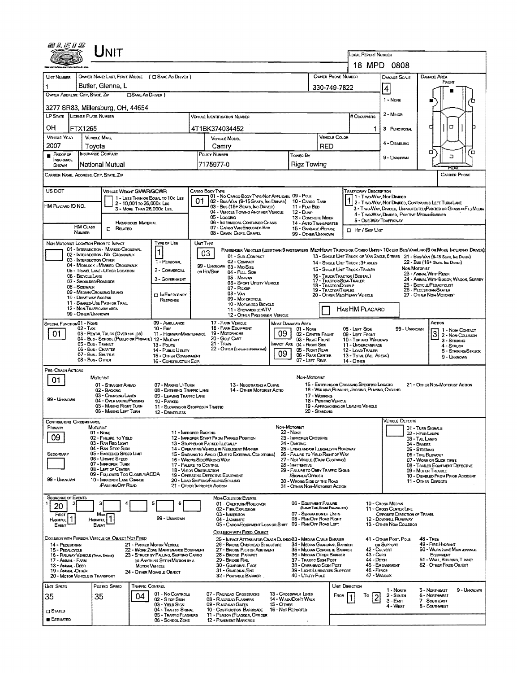|                                                              | UNIT                                                                                   |                                                         |                                                                                |                                                                                             |                                                                                                 |                                 |                                                                       |                                                           |                |                                                                                                |                                                        |                                                                                                                              |
|--------------------------------------------------------------|----------------------------------------------------------------------------------------|---------------------------------------------------------|--------------------------------------------------------------------------------|---------------------------------------------------------------------------------------------|-------------------------------------------------------------------------------------------------|---------------------------------|-----------------------------------------------------------------------|-----------------------------------------------------------|----------------|------------------------------------------------------------------------------------------------|--------------------------------------------------------|------------------------------------------------------------------------------------------------------------------------------|
|                                                              |                                                                                        |                                                         |                                                                                |                                                                                             |                                                                                                 |                                 |                                                                       |                                                           |                | LOCAL REPORT NUMBER                                                                            | 18 MPD 0808                                            |                                                                                                                              |
| UMT NUMBER                                                   | OWNER NAME: LAST, FIRST, MIDDLE ( I SAME AS DRIVER )                                   |                                                         |                                                                                |                                                                                             |                                                                                                 |                                 |                                                                       | <b>OWNER PHONE NUMBER</b>                                 |                |                                                                                                | DAMAGE SCALE                                           | DAMAGE AREA                                                                                                                  |
| 1.                                                           | Butler, Glenna, L                                                                      |                                                         |                                                                                |                                                                                             |                                                                                                 |                                 |                                                                       | 330-749-7822                                              |                |                                                                                                |                                                        | FRONT                                                                                                                        |
| OWNER ADDRESS: CITY, STATE, ZIP                              |                                                                                        | <b>CISAME AS DRIVER</b> )                               |                                                                                |                                                                                             |                                                                                                 |                                 |                                                                       |                                                           |                |                                                                                                | 4                                                      |                                                                                                                              |
|                                                              | 3277 SR83, Millersburg, OH, 44654                                                      |                                                         |                                                                                |                                                                                             |                                                                                                 |                                 |                                                                       |                                                           |                |                                                                                                | 1 - None                                               |                                                                                                                              |
|                                                              | LP STATE LICENSE PLATE NUMBER                                                          |                                                         |                                                                                |                                                                                             | <b>VEHICLE IDENTIFICATION NUMBER</b>                                                            |                                 |                                                                       |                                                           |                | # Occupants                                                                                    | 2 - Minor                                              |                                                                                                                              |
| OН                                                           | FTX1265                                                                                |                                                         |                                                                                |                                                                                             | 4T1BK374034452                                                                                  |                                 |                                                                       |                                                           |                | 1                                                                                              | 3 - FUNCTIONAL                                         | $\Box$<br>п                                                                                                                  |
| <b>VEHICLE YEAR</b>                                          | <b>VEMICLE MAKE</b>                                                                    |                                                         |                                                                                |                                                                                             | <b>VEHICLE MODEL</b>                                                                            |                                 |                                                                       | VEHICLE COLOR                                             |                |                                                                                                |                                                        |                                                                                                                              |
| 2007                                                         | Tovota<br><b>INSURANCE COMPANY</b>                                                     |                                                         |                                                                                |                                                                                             | Camrv                                                                                           |                                 |                                                                       | <b>RED</b>                                                |                |                                                                                                | 4 - DISABUNG                                           | □<br>Έ                                                                                                                       |
| $P$ ROOF OF<br><b>INSURANCE</b>                              | National Mutual                                                                        |                                                         |                                                                                |                                                                                             | POUCY NUMBER<br>7175977-0                                                                       |                                 | Toweo By<br>Rigz Towing                                               |                                                           |                |                                                                                                | 9 - Unknown                                            | o                                                                                                                            |
| <b>SHOWN</b>                                                 | CARRIER NAME, ADDRESS, CITY, STATE, ZIP                                                |                                                         |                                                                                |                                                                                             |                                                                                                 |                                 |                                                                       |                                                           |                |                                                                                                |                                                        | FCAF<br>CARRIER PHONE                                                                                                        |
|                                                              |                                                                                        |                                                         |                                                                                |                                                                                             |                                                                                                 |                                 |                                                                       |                                                           |                |                                                                                                |                                                        |                                                                                                                              |
| US DOT                                                       |                                                                                        | <b>VEHICLE WEIGHT GVWR/GCWR</b>                         | 1 - LESS THAN OR EQUAL TO 10K LBS                                              |                                                                                             | CARGO BOOY TYPE<br>01 - No CARGO BODY TYPE/NOT APPLICABL 09 - POLE                              |                                 |                                                                       |                                                           |                | <b>TRAFFICWAY DESCRIPTION</b>                                                                  | 1 - Two Way, Not Divideo                               |                                                                                                                              |
| HM PLACARD ID NO.                                            |                                                                                        | 2 - 10,001 to 26,000k Las<br>3 - MORE THAN 26,000K LBS. |                                                                                | 01                                                                                          | 02 - Bus/Van (9-15 Seats, Inc Driver) 10 - Cargo Tank<br>03 - Bus (16+ Seats, Ing Driver)       |                                 | 11 - FLAT BED                                                         |                                                           |                |                                                                                                |                                                        | 2 - Two Way, Not Divided, Continuous Left Turn Lane<br>3 - T WO-WAY, DIVIDED, UNPROTECTED (PAINTED OR GRASS > FT.) MEDIA     |
|                                                              |                                                                                        |                                                         |                                                                                |                                                                                             | 04 - VEHICLE TOWING ANOTHER VEHICLE<br>05 - Locana                                              |                                 | 12 - Dump<br>13 - CONCRETE MIXER                                      |                                                           |                |                                                                                                | 4 - T WO-WAY, DIVIDED, POSITIVE MEDIANBARRIER          |                                                                                                                              |
| HAZARDOUS MATERIAL<br>HM CLASS<br><b>D</b> RELATED<br>NUMBER |                                                                                        |                                                         |                                                                                |                                                                                             | 06 - INTERMODAL CONTAINER CHASES<br>07 - CARGO VAN/ENGLOSED BOX                                 |                                 | 14 - AUTO TRANSPORTER<br>15 - GARBAGE/REFUSE                          |                                                           |                | 5 - ONE-WAY TRAFFICWAY<br><b>D</b> Hr / Skep Upat                                              |                                                        |                                                                                                                              |
|                                                              |                                                                                        |                                                         |                                                                                |                                                                                             | 08 - GRAIN, CHIPS, GRAVEL                                                                       |                                 | 99 - OTHER/UNKNOWN                                                    |                                                           |                |                                                                                                |                                                        |                                                                                                                              |
|                                                              | NON-MOTORIST LOCATION PRIOR TO IMPACT<br>01 - INTERSECTION - MARKED CROSSWAL           |                                                         | <b>Type or Use</b><br>1                                                        | <b>UNTTYPE</b>                                                                              |                                                                                                 |                                 |                                                                       |                                                           |                |                                                                                                |                                                        | PASSENGER VENICLES (LESS THAN 9 PASSENGERS MEDIHEAVY TRUCKS OR COMBO UNTS > TOK LES BUS/VANLIMO (9 OR MORE INCLUDING DRIVER) |
|                                                              | 02 - INTERSECTION - NO CROSSWALK<br>03 - INTERSECTION OTHER                            |                                                         | 1 - PERSONAL                                                                   |                                                                                             | 03<br>01 - Sub-COMPACT<br>$02 -$ COMPACT                                                        |                                 |                                                                       |                                                           |                | 14 - SINGLE UNIT TRUCK: 3+ AXLES                                                               |                                                        | 13 - SINGLE UNIT TRUCK OR VAN ZAXLE, 6 TIRES 21 - BUS/VAN (9-15 SEATS, INC DRIVER)<br>22 - Bus (16+ Sears, Inc Draver)       |
|                                                              | 04 - MIDBLOCK - MARKED CROSSWALK<br>05 - TRAVEL LANE - OTHER LOCATION                  |                                                         | 2 - COMMERCIAL                                                                 |                                                                                             | 99 - UNKNOWN 03 - MIO SIZE<br>ов Нп/Sкір<br>04 - Futt Size                                      |                                 |                                                                       |                                                           |                | 15 - SINGLE UNIT TRUCK / TRAILER                                                               |                                                        | NON-MOTORIST<br>23 - ANIMAL WITH FUDER                                                                                       |
|                                                              | 06 - BICYCLE LANE<br>07 - SHOULDER/ROADSIDE                                            |                                                         | 3 - GOVERNMENT                                                                 |                                                                                             | 05 - MINIVAN<br>06 - Sport Unutry Verscue                                                       |                                 |                                                                       | 16 - TRUCK/TRACTOR (BOBTAIL)<br>17 - Tractor/Seni-Traller |                |                                                                                                |                                                        | 24 - ANIMAL WITH BUGGY, WAGON SURREY<br>25 - BICYCLE/PEDACYCLIST                                                             |
|                                                              | 08 - Sidewalk<br>09 - MEDIAN/CROSSING ISLAND                                           |                                                         | <b>DIN EMERGENCY</b>                                                           |                                                                                             | 07 - Ptckup<br>$08 - V_{AM}$                                                                    |                                 |                                                                       | 18 - Tractor/Double<br>19 - TRACTOR/TRIPLES               |                | 20 - OTHER MEDIHEAVY VEHICLE                                                                   |                                                        | 26 - PEOESTRIAN/SKATER<br>27 - OTHER NON-MOTORIST                                                                            |
|                                                              | 10 - DRIVE WAY ACCESS<br>11 - SHARED USE PATH OR TRAIL                                 |                                                         | RESPONSE                                                                       |                                                                                             | 09 - MOTORCYCLE<br>10 - MOTORIZED BICYCLE                                                       |                                 |                                                                       |                                                           |                |                                                                                                |                                                        |                                                                                                                              |
|                                                              | 12 - NON-TRAFFICWAY AREA<br>99 - OTHER/UNKNOWN                                         |                                                         |                                                                                |                                                                                             | 11 - SNOWMOBILE/ATV<br>12 - OTHER PASSENGER VEHICLE                                             |                                 |                                                                       |                                                           |                | Has HM Placard                                                                                 |                                                        |                                                                                                                              |
| SPECIAL FUNCTION 01 - NOME                                   | 02 - Тах                                                                               |                                                         | 09 - AMBULANCE<br>$10 -$ Fire                                                  |                                                                                             | 17 - FARM VEHICLE<br>18 - FARM EQUIPMENT                                                        |                                 | Most Danageo Area<br>01 - None                                        |                                                           |                | 08 - LEFT SIDE                                                                                 | 99 - UNKNOWN                                           | Астом                                                                                                                        |
| 01                                                           | 03 - RENTAL TRUCK (OVER 10KLBS)<br>04 - Bus - SCHOOL (PUBLIC OR PRIVATE) 12 - MILITARY |                                                         | 11 - HIGHWAY/MAINTENANCE                                                       |                                                                                             | 19 - MOTORHOME<br>20 - Gour CART                                                                | 09                              | 02 - CENTER FRONT                                                     |                                                           |                | 09 - LEFT FROM                                                                                 |                                                        | 1 - Non Contact<br>3<br>2 - Non-Collision                                                                                    |
|                                                              | 05 - Bus - Transit<br>06 - Bus - Charter                                               |                                                         | 13 - Pouce                                                                     |                                                                                             | $21 -$ TRAIN<br>22 - OTHER (EXPLANDINARIATME)                                                   |                                 | 03 - Right Front<br>IMPACT ARE 04 - RIGHT SIDE<br>05 - RIGHT REAR     |                                                           |                | 10 - TOP AND WINDOWS<br>11 - UNDERCARRIAGE                                                     |                                                        | $3 -$ Striking<br>4 - STRUCK                                                                                                 |
|                                                              | 07 - Bus - SHUTTLE<br>08 - Bus - OTHER                                                 |                                                         | 14 - Pusuc Unury<br>15 - OTHER GOVERNMENT<br>16 - CONSTRUCTION EQIP.           |                                                                                             |                                                                                                 | 09                              | 06 - REAR CEMTER<br>07 - LEFT REAR                                    |                                                           |                | 12 - LOAD/TRAILER<br>13 - TOTAL (ALL AREAS)<br>14 - Отнев                                      |                                                        | 5 - STRIKING/STRUCK<br>9 - Unknown                                                                                           |
| PRE-CRASH ACTIONS                                            |                                                                                        |                                                         |                                                                                |                                                                                             |                                                                                                 |                                 |                                                                       |                                                           |                |                                                                                                |                                                        |                                                                                                                              |
| 01                                                           | MOTORIST                                                                               |                                                         |                                                                                |                                                                                             |                                                                                                 |                                 | NON-MOTORIST                                                          |                                                           |                |                                                                                                |                                                        |                                                                                                                              |
|                                                              | 01 - STRAIGHT AHEAD<br>02 - BACKING                                                    |                                                         | 07 - MAKING U-TURN<br>08 - ENTERING TRAFFIC LANE                               |                                                                                             | 13 - NEGOTIATING A CURVE<br>14 - OTHER MOTORIST ACTIO                                           |                                 |                                                                       |                                                           |                | 15 - ENTERING OR CROSSING SPECIFIED LOCATIO<br>16 - Walking Runnang, Joseing, Playing, Cycling |                                                        | 21 - OTHER NON-MOTORIST ACTION                                                                                               |
| 99 - UNKNOWN                                                 | 03 - CHANGING LANES<br>04 - OVERTAKING/PASSING                                         |                                                         | 09 - LEAVING TRAFFIC LANE<br>10 - PARKED                                       |                                                                                             |                                                                                                 |                                 |                                                                       | 17 - WORKING<br>18 - PUSHING VEHICLE                      |                |                                                                                                |                                                        |                                                                                                                              |
|                                                              | 05 - MAKING RIGHT TURN<br>06 - MAKING LEFT TURN                                        |                                                         | 11 - SLOWING OR STOPPED IN TRAFFIC<br>12 - DRIVERLESS                          |                                                                                             |                                                                                                 |                                 |                                                                       | 20 - Standing                                             |                | 19 - APPROACHING OR LEAVING VEHICLE                                                            |                                                        |                                                                                                                              |
| Contributing Circumstance<br>PRIMARY                         | MOTORIST                                                                               |                                                         |                                                                                |                                                                                             |                                                                                                 | NON-MOTORIST                    |                                                                       |                                                           |                |                                                                                                | VEHICLE LJEFECTS                                       |                                                                                                                              |
| 09                                                           | 01 - NONE<br>02 - FALURE TO YIELD                                                      |                                                         | 11 - Improper Backing                                                          |                                                                                             | 12 - IMPROPER START FROM PARKED POSITION                                                        |                                 | $22 -$ None<br>23 - IMPROPER CROSSING                                 |                                                           |                |                                                                                                |                                                        | 01 - TURN SIGNALS<br>02 - HEAD LAMPS                                                                                         |
|                                                              | 03 - RAN RED LIGHT<br>04 - RAN STOP SIGN                                               |                                                         |                                                                                |                                                                                             | 13 - Stopped or Parked LLEGALLY<br>14 - OPERATING VEHICLE IN NEGLIGENT MANNER                   |                                 | 24 - DARTING<br>25 - LYING AND/OR LLEGALLY IN ROADWAY                 |                                                           |                |                                                                                                |                                                        | 03 - TAIL LAMPS<br>04 - BRAKES<br>05 - STEERING                                                                              |
| Secondary                                                    | 05 - Exceeded Speed LIMIT<br>06 - UNSAFE SPEED                                         |                                                         |                                                                                |                                                                                             | 15 - Swering to Avoid (Due to External Conditions)<br>16 - Wrong Side/Wrong Way                 |                                 | 26 - FALURE TO YIELD RIGHT OF WAY<br>27 - NOT VISIBLE (DARK CLOTHING) |                                                           |                |                                                                                                |                                                        | 06 - TIRE BLOWOUT<br>07 - WORN OR SUCK TIRES                                                                                 |
|                                                              | 07 - IMPROPER TURN<br>08 - LEFT OF CENTER                                              |                                                         | 17 - FALURE TO CONTROL<br>18 - Vision Oastruction                              |                                                                                             |                                                                                                 |                                 | 28 - INATTENTIVE<br>29 - FALURE TO OBEY TRAFFIC SIGNS                 |                                                           |                |                                                                                                |                                                        | 08 - TRAILER EQUIPMENT DEFECTIVE<br>09 - MOTOR TROUBLE                                                                       |
| 99 - UNKNOWN                                                 | 09 - Followed Too Closely/ACDA<br>10 - IMPROPER LANE CHANGE                            |                                                         |                                                                                |                                                                                             | 19 - OPERATING DEFECTIVE EQUIPMENT<br>20 - LOAD SHIFTING/FALLING/SPILLING                       |                                 | /SIGNALS/OFFICER<br>30 - WRONG SIDE OF THE ROAD                       |                                                           |                |                                                                                                |                                                        | 10 - DISABLED FROM PRIOR ACCIDENT<br>11 - OTHER DEFECTS                                                                      |
|                                                              | /PASSING/OFF ROAD                                                                      |                                                         |                                                                                |                                                                                             | 21 - OTHER IMPROPER ACTION                                                                      |                                 | 31 - OTHER NON-MOTORIST ACTION                                        |                                                           |                |                                                                                                |                                                        |                                                                                                                              |
| <b>SEQUENCE OF EVENTS</b>                                    |                                                                                        |                                                         |                                                                                |                                                                                             | NON-COLLISION EVENTS<br>01 - OVERTURN/ROLLOVER                                                  |                                 | 06 - EQUIPMENT FAILURE                                                |                                                           |                |                                                                                                | 10 - Cross Median                                      |                                                                                                                              |
| 20                                                           |                                                                                        |                                                         |                                                                                |                                                                                             | 02 - FIRE/EXPLOSION<br>03 - IMMERSION                                                           |                                 | 07 - SEPARATION OF LIMTS                                              | (BLOWN TIRE, BRAKE FAILIRE, ETC)                          |                |                                                                                                | 11 - CROSS CENTER LINE<br>OPPOSITE DIRECTION OF TRAVEL |                                                                                                                              |
| FIRST<br><b>HARMFUL</b><br>Event                             | Most<br>Harmful,<br>EVENT                                                              |                                                         | 99 - Unknown                                                                   |                                                                                             | 04 - JACKKNIFE<br>05 - CARGO/EQUIPMENT LOSS OR SHIFT                                            |                                 | 08 - RAN OFF ROAD RIGHT<br>09 - RAN OFF ROAD LEFT                     |                                                           |                |                                                                                                | 12 - DOWNHILL RUNAWAY<br>13 - OTHER NON-COLLISION      |                                                                                                                              |
|                                                              |                                                                                        |                                                         |                                                                                |                                                                                             | COLLISION WITH FIXED. OBJECT                                                                    |                                 |                                                                       |                                                           |                |                                                                                                |                                                        |                                                                                                                              |
| 14 - PEDESTRIAN                                              | COLUSION WITH PERSON, VEHICLE OR OBJECT NOT FIXED                                      |                                                         | 21 - PARKED MOTOR VEHICLE                                                      |                                                                                             | 25 - IMPACT ATTENUATOR/CRASH CUSHION 3 - MEDIAN CABLE BARRIER<br>26 - BRIDGE OVERHEAD STRUCTURE |                                 | 34 - MEDIAN GUARDRAIL BARRIER                                         |                                                           |                |                                                                                                | 41 - OTHER POST, POLE<br>or Support                    | 48 - Tree<br>49 - FIRE HYDRANT                                                                                               |
| 15 - PEDALCYCLE                                              | 16 - RALWAY VEHICLE (TRAIN, ENGINE)                                                    |                                                         | 22 - WORK ZONE MAINTENANCE EQUIPMENT<br>23 - STRUCK BY FALLING, SHIFTING CARGO |                                                                                             | 27 - BRIDGE PIER OR ABUTMENT<br>28 - Bridge Parapet                                             |                                 | 35 - MEOIAN CONCRETE BARRIER<br>36 - MEOIAN OTHER BARRIER             |                                                           |                | 42 - CULVERT<br>43 - Cura                                                                      |                                                        | 50 - WORK ZONE MAINTENANCE<br>EQUIPMENT                                                                                      |
| 17 - ANNAL - FARM<br>18 - Animal - Deer                      |                                                                                        | <b>MOTOR VEHICLE</b>                                    | OR ANYTHING SET IN MOTION BY A                                                 | 29 - Bridge Rat.<br>37 - TRAFFIC SIGN POST<br>30 - GUARORAL FACE<br>38 - OVERHEAD SIGN POST |                                                                                                 |                                 |                                                                       |                                                           |                | 44 - Опон                                                                                      | 45 - EMBANKMENT                                        | 51 - WALL BUILDING, TUNNEL<br>52 - OTHER FIXED OBJECT                                                                        |
| 19 - Ammal - Other                                           | 20 - MOTOR VEHICLE IN TRANSPORT                                                        |                                                         | 24 - OTHER MOVABLE OBJECT                                                      |                                                                                             | 31 - GUARDRALEND<br>32 - PORTABLE BARRIER                                                       |                                 | 39 - LIGHT/LUMINARIES SUPPORT<br>40 - Unury Pous                      |                                                           |                | 46 - FENCE<br>47 - MARBOX                                                                      |                                                        |                                                                                                                              |
| UNT SPEED                                                    | Posted Speed                                                                           | <b>TRAFFIC CONTROL</b>                                  |                                                                                |                                                                                             |                                                                                                 |                                 |                                                                       |                                                           | Unit Direction |                                                                                                | 1 - Norm                                               | 5 - NORTHEAST<br>9 - Unknown                                                                                                 |
| 35                                                           | 35                                                                                     | 04                                                      | 01 - No Controls<br>02 - S TOP SIGN                                            |                                                                                             | 07 - RAILROAD CROSSBUCKS<br>08 - RAUROAD FLASHERS                                               |                                 | 13 - Crosswalk Lines<br>14 - WAIK/DON'T WALK                          |                                                           | FROM           | To                                                                                             | $2 -$ Soum<br>$3 - E$ AST                              | 6 - NORTHWEST<br>7 - Southeast                                                                                               |
| $\square$ STATED                                             |                                                                                        |                                                         | 03 - YIELD SIGN<br>04 - TRAFFIC SIGNAL                                         |                                                                                             | 09 - RAUROAD GATES<br>10 - Costruction Barricade                                                | 15 - Отнея<br>16 - Not Reported |                                                                       |                                                           |                |                                                                                                | 4 - West                                               | 8 - Southwest                                                                                                                |
| ESTIMATED                                                    |                                                                                        |                                                         | 05 - TRAFFIC FLASHERS<br>06 - SCHDOL ZONE                                      |                                                                                             | 11 - PERSON (FLAGGER, OFFICER<br>12 - PAVEMENT MARKINGS                                         |                                 |                                                                       |                                                           |                |                                                                                                |                                                        |                                                                                                                              |
|                                                              |                                                                                        |                                                         |                                                                                |                                                                                             |                                                                                                 |                                 |                                                                       |                                                           |                |                                                                                                |                                                        |                                                                                                                              |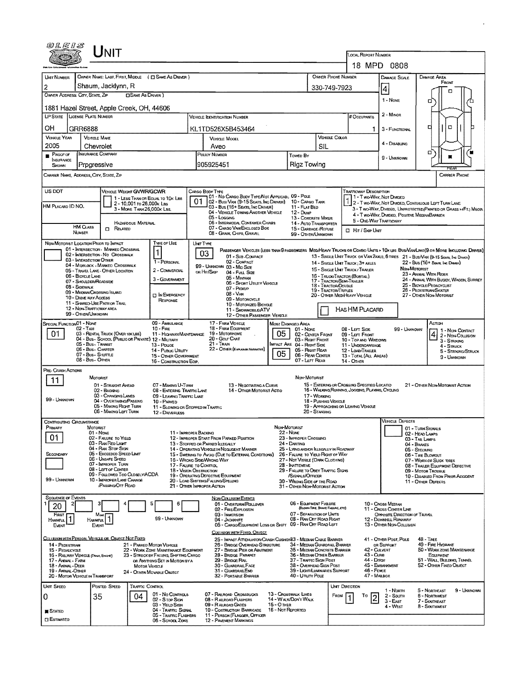| 04E1S                                                       |                                                | JNIT                                                        |                                                         |                                                                          |    |                                                                                               |                   |                                                                       |                                      |                                                                  |                                            |                                                       |                                      |                                                                                                                                                                                                                  |
|-------------------------------------------------------------|------------------------------------------------|-------------------------------------------------------------|---------------------------------------------------------|--------------------------------------------------------------------------|----|-----------------------------------------------------------------------------------------------|-------------------|-----------------------------------------------------------------------|--------------------------------------|------------------------------------------------------------------|--------------------------------------------|-------------------------------------------------------|--------------------------------------|------------------------------------------------------------------------------------------------------------------------------------------------------------------------------------------------------------------|
|                                                             |                                                |                                                             |                                                         |                                                                          |    |                                                                                               |                   |                                                                       |                                      |                                                                  | LOCAL REPORT NUMBER                        |                                                       |                                      |                                                                                                                                                                                                                  |
|                                                             |                                                |                                                             |                                                         |                                                                          |    |                                                                                               |                   |                                                                       |                                      |                                                                  |                                            | 18 MPD 0808                                           |                                      |                                                                                                                                                                                                                  |
| <b>UNT NUMBER</b>                                           |                                                |                                                             |                                                         | OWNER NAME: LAST, FIRST, MIDDLE ( C SAME AS DRIVER )                     |    |                                                                                               |                   |                                                                       |                                      | <b>OWNER PHONE NUMBER</b>                                        |                                            | DAMAGE SCALE                                          |                                      | DAMAGE AREA<br>FRONT                                                                                                                                                                                             |
| 2                                                           |                                                | Shaum, Jacklynn, R                                          |                                                         |                                                                          |    |                                                                                               |                   |                                                                       | 330-749-7923                         |                                                                  |                                            | 4                                                     |                                      | о                                                                                                                                                                                                                |
| OWNER ADDRESS: CITY, STATE, ZIP                             |                                                |                                                             | <b>CISAME AS DRIVER</b> )                               |                                                                          |    |                                                                                               |                   |                                                                       |                                      |                                                                  |                                            | 1 - NONE                                              |                                      | а                                                                                                                                                                                                                |
| 1881 Hazel Street, Apple Creek, OH, 44606                   |                                                |                                                             |                                                         |                                                                          |    |                                                                                               |                   |                                                                       |                                      |                                                                  |                                            |                                                       |                                      |                                                                                                                                                                                                                  |
| <b>LP STATE</b>                                             | <b>LICENSE PLATE NUMBER</b>                    |                                                             |                                                         |                                                                          |    | <b>VEHICLE IDENTIFICATION NUMBER</b>                                                          |                   |                                                                       |                                      |                                                                  | # Occupants                                | $2 -$ MINOR                                           |                                      |                                                                                                                                                                                                                  |
| OН                                                          | GRR6888                                        |                                                             |                                                         |                                                                          |    | KL1TD526X5B453464                                                                             |                   |                                                                       |                                      |                                                                  |                                            | 3 - FUNCTIONAL                                        |                                      | O<br>п                                                                                                                                                                                                           |
| <b>VEHICLE YEAR</b>                                         | <b>VEHICLE MAKE</b>                            |                                                             |                                                         |                                                                          |    | <b>VEHICLE MOOEL</b>                                                                          |                   |                                                                       | VEHICLE COLOR                        |                                                                  |                                            |                                                       |                                      |                                                                                                                                                                                                                  |
| 2005                                                        | Chevrolet                                      |                                                             |                                                         |                                                                          |    | Aveo                                                                                          |                   |                                                                       | SIL                                  |                                                                  |                                            | 4 - Disabung                                          |                                      |                                                                                                                                                                                                                  |
| $P$ ROOF OF<br><b>INSURANCE</b>                             | <b>INSURANCE COMPANY</b>                       |                                                             |                                                         |                                                                          |    | <b>POLICY NUMBER</b>                                                                          |                   | Towed By                                                              |                                      |                                                                  |                                            | 9 - UNKNOWN                                           |                                      | □<br>ш                                                                                                                                                                                                           |
| SHOWN                                                       | Progressive                                    |                                                             |                                                         |                                                                          |    | 905925451                                                                                     |                   | Rigz Towing                                                           |                                      |                                                                  |                                            |                                                       |                                      |                                                                                                                                                                                                                  |
| CARRIER NAME, ADORESS, CITY, STATE, ZIP                     |                                                |                                                             |                                                         |                                                                          |    |                                                                                               |                   |                                                                       |                                      |                                                                  |                                            |                                                       |                                      | <b>CARRIER PHONE</b>                                                                                                                                                                                             |
|                                                             |                                                |                                                             |                                                         |                                                                          |    |                                                                                               |                   |                                                                       |                                      |                                                                  |                                            |                                                       |                                      |                                                                                                                                                                                                                  |
| US DOT                                                      |                                                | VEHICLE WEIGHT GVWR/GCWR                                    |                                                         | 1 - LESS THAN OR EQUAL TO 10K LBS                                        |    | CARGO BODY TYPE<br>01 - No CARGO BODY TYPE/NOT APPLICABL 09 - POLE                            |                   |                                                                       |                                      |                                                                  | TRAFFICWAY DESCRIPTION                     | 1 - T wo-WAY, Not DIMDED                              |                                      |                                                                                                                                                                                                                  |
| HM PLACARD ID NO.                                           |                                                |                                                             | 2 - 10,001 to 26,000k Las<br>3 - MORE THAN 26,000K LBS. |                                                                          | 01 | 02 - Bus/Van (9-15 Seats, Inc Driver)<br>03 - Bus (16+ Seats, INC DRIVER)                     |                   | 10 - CARGO TANK<br>11 FLAT BED                                        |                                      |                                                                  |                                            |                                                       |                                      | 2 - T WO-WAY, NOT DIVIDED, CONTINUOUS LEFT TURN LANE<br>3 - T WO-WAY, DIMDED, UNPROTECTED (PAINTED OR GRASS >4FT.) MEOIA                                                                                         |
|                                                             |                                                |                                                             |                                                         |                                                                          |    | 04 - VEHICLE TOWING ANOTHER VEHICLE<br>05 - Logging                                           |                   | 12 - Dusp<br>13 - CONCRETE MIXER                                      |                                      |                                                                  |                                            | 4 - Two-Way, Divided, Positive Median Barrier         |                                      |                                                                                                                                                                                                                  |
|                                                             | <b>HM CLASS</b>                                | $\Box$ Related                                              | HAZARDOUS MATERIAL                                      |                                                                          |    | 06 - INTERMODAL CONTAINER CHASIS<br>07 - CARGO VAN/ENGLOSED BOX                               |                   | 14 - AUTO TRANSPORTER<br>15 - GARBAGE /REFUSE                         |                                      |                                                                  |                                            | 5 - ONE-WAY TRAFFICWAY                                |                                      |                                                                                                                                                                                                                  |
|                                                             | NUMBER                                         |                                                             |                                                         |                                                                          |    | 08 - GRAIN, CHIPS, GRAVEL                                                                     |                   | 99 - OTHER/UNNNOWN                                                    |                                      |                                                                  | $\Box$ Har / Side Unit                     |                                                       |                                      |                                                                                                                                                                                                                  |
| NON-MOTORIST LOCATION PRIOR TO IMPACT                       |                                                | 01 - INTERSECTION - MARKED CROSSWAL                         |                                                         | Type of Use                                                              |    | UNIT TYPE                                                                                     |                   |                                                                       |                                      |                                                                  |                                            |                                                       |                                      |                                                                                                                                                                                                                  |
|                                                             |                                                | 02 - INTERSECTION - NO CROSSWALK                            |                                                         | 1                                                                        |    | 03<br>01 - Sus-COMPACT                                                                        |                   |                                                                       |                                      |                                                                  |                                            |                                                       |                                      | PASSENGER VEHICLES (LESS THAN 9 PASSENGERS MEDIMEANY TRUCKS OR COMBO UNTS > 10K LBS BUS/VAN/LIMO(9 OR MORE INCLUDING DRIVER)<br>13 - SINGLE UNIT TRUCK OR VAN 2AXLE, 6 TRES 21 - BUS/VAN (9-15 SEATE, INC DANER) |
|                                                             | 03 - INTERSECTION OTHER                        | 04 - MIDSLOCK - MARKED CROSSWALK                            |                                                         | 1 - PERSONAL                                                             |    | 02 - COMPACT<br>99 - UNKNOWN 03 - MID SIZE                                                    |                   |                                                                       |                                      | 14 - SINGLE UNIT TRUCK; 3+ AXLES                                 |                                            |                                                       |                                      | 22 - BUS (16+ Seate, Ive Diever)                                                                                                                                                                                 |
|                                                             | 06 - BICYCLE LANE                              | 05 - TRAVEL LANE - OTHER LOCATION                           |                                                         | 2 - COMMERCIAL                                                           |    | on Hir/Skip<br>04 - Full Size                                                                 |                   |                                                                       |                                      | 15 - SINGLE UNIT TRUCK / TRAILER<br>16 - TRUCK/TRACTOR (BOBTAIL) |                                            |                                                       | Non-Mororist                         | 23 - ANIMAL WITH RIDER                                                                                                                                                                                           |
|                                                             | 07 - SHOULDER/ROADSIDE                         |                                                             |                                                         | 3 - GOVERNMENT                                                           |    | 05 - Mintvan<br>06 - SPORT UTILITY VEHICLE                                                    |                   |                                                                       |                                      | 17 - TRACTOR/SEMI-TRAILER<br>18 - TRACTOR/DOUBLE                 |                                            |                                                       |                                      | 24 - ANIMAL WITH BUGGY, WAGON, SURREY<br>25 - BICYCLE/PEDACYCLIST                                                                                                                                                |
|                                                             | 08 - Sidewalk<br>09 - MEDIAN CROSSING ISLAND   |                                                             |                                                         | <b>DINEMERGENCY</b>                                                      |    | 07 - Pickup<br>$08 - VAN$                                                                     |                   |                                                                       |                                      | 19 - TRACTOR/TRIPLES<br>20 - OTHER MEDIHEAVY VEHICLE             |                                            |                                                       |                                      | 26 - PEDESTRIAN/SKATER<br>27 - OTHER NON-MOTORIST                                                                                                                                                                |
|                                                             | <b>10 - DRIVE WAY ACCESS</b>                   | 11 - SHARED-USE PATH OR TRAIL                               |                                                         | <b>RESPONSE</b>                                                          |    | 09 - MOTORCYCLE<br>10 - Motorizeo Bicycle                                                     |                   |                                                                       |                                      |                                                                  |                                            |                                                       |                                      |                                                                                                                                                                                                                  |
|                                                             | 12 - NON-TRAFFICWAY AREA<br>99 - OTHER/UNKNOWN |                                                             |                                                         |                                                                          |    | 11 - SNOWMOBILE/ATV<br>12 - OTHER PASSENGER VEHICLE                                           |                   |                                                                       |                                      |                                                                  | HAS HM PLACARD                             |                                                       |                                      |                                                                                                                                                                                                                  |
| SPECIAL FUNCTIONO1 - NONE                                   |                                                |                                                             |                                                         | 09 - AMBULANCE                                                           |    | 17 - FARM VEHICLE                                                                             |                   | MOST DAMAGED AREA                                                     |                                      |                                                                  |                                            |                                                       |                                      | ACTION                                                                                                                                                                                                           |
| 01                                                          | 02 - TAXI                                      | 03 - RENTAL TRUCK (OVER 10K LBS)                            |                                                         | $10 -$ Fire<br>11 - HIGHWAY/MAINTENANCE                                  |    | <b>18 - FARM EOLIPMENT</b><br>19 - MOTORHOME                                                  | 05                | 01 - None<br>02 - CENTER FRONT                                        |                                      | 08 - LEFT SIDE                                                   | 09 - LEFT FRONT                            |                                                       | 99 - UNKNOWN                         | 1 - Non-CONTACT<br>2 - Non-Collision                                                                                                                                                                             |
|                                                             | 05 - Bus - Transit                             |                                                             |                                                         | 04 - Bus - SCHOOL (PUBLIC OR PRIVATE) 12 - MILITARY<br>13 - Pouce        |    | 20 - GOLF CART<br>$21 -$ TRAIN                                                                |                   | 03 - Right Front<br>INPACT ARE 04 - RIGHT SIDE                        |                                      |                                                                  | 10 - TOP AND WINDOWS<br>11 - UNDERCARRIAGE |                                                       |                                      | 3 - STRIKING                                                                                                                                                                                                     |
|                                                             | 06 - Bus - CHARTER<br>07 - Bus - SHUTTLE       |                                                             |                                                         | 14 - Pusuc Unury                                                         |    | 22 - OTHER (EXPLANENT MARRATIVE)                                                              | 05                | 05 - Right Rear<br>06 - REAR CENTER                                   |                                      |                                                                  | 12 - LOAD/TRAILER                          |                                                       |                                      | $4 -$ STRUCK<br>5 - STRIKING/STRUCK                                                                                                                                                                              |
|                                                             | 08 - Bus - OTHER                               |                                                             |                                                         | 15 - OTHER GOVERNMENT<br>16 - CONSTRUCTION EOIP.                         |    |                                                                                               |                   | 07 - LEFT REAR                                                        |                                      | 14 - OTHER                                                       | 13 - TOTAL (ALL AREAS)                     |                                                       |                                      | 9 - UNKNOWN                                                                                                                                                                                                      |
| PRE- CRASH ACTIONS                                          |                                                |                                                             |                                                         |                                                                          |    |                                                                                               |                   |                                                                       |                                      |                                                                  |                                            |                                                       |                                      |                                                                                                                                                                                                                  |
| 11                                                          | MOTORIST                                       | 01 - STRAIGHT AHEAD                                         |                                                         | 07 - MAKING U-TURN                                                       |    | 13 - NEGOTIATING A CURVE                                                                      |                   | NON-MOTORIST                                                          |                                      | 15 - ENTERING OR CROSSING SPECIFIED LOCATIO                      |                                            |                                                       |                                      | 21 - OTHER NON-MOTORIST ACTION                                                                                                                                                                                   |
|                                                             |                                                | 02 - Backing                                                |                                                         | 08 - ENTERING TRAFFIC LANE                                               |    | 14 - OTHER MOTORIST ACTIO                                                                     |                   |                                                                       |                                      | 16 - WALKING, RUNNING, JOGGING, PLAYING, CYCLING                 |                                            |                                                       |                                      |                                                                                                                                                                                                                  |
| 99 - UNKNOWN                                                |                                                | 03 - CHANGING LANES<br>04 - OVERTAKING/PASSING              |                                                         | 09 - LEAVING TRAFFIC LANE<br>10 - PARKED                                 |    |                                                                                               |                   |                                                                       | 17 - WORKING<br>18 - Pushing Venig F |                                                                  |                                            |                                                       |                                      |                                                                                                                                                                                                                  |
|                                                             |                                                | 05 - MAKING RIGHT TURN<br>06 - MAKING LEFT TURN             |                                                         | 11 - Slowing or Stopped in Traffic<br>12 - DRIVERLESS                    |    |                                                                                               |                   |                                                                       | 20 - Standing                        | 19 - APPROACHING OR LEAVING VEHICLE                              |                                            |                                                       |                                      |                                                                                                                                                                                                                  |
| <b>CONTRIBUTING CIRCUMSTANCE</b>                            |                                                |                                                             |                                                         |                                                                          |    |                                                                                               |                   |                                                                       |                                      |                                                                  |                                            | <b>VEHICLE DEFECTS</b>                                |                                      |                                                                                                                                                                                                                  |
| PRIMARY                                                     | MOTORIST<br>01 - NONE                          |                                                             |                                                         | 11 - IMPROPER BACKING                                                    |    |                                                                                               | NON-MOTORIST      | 22 - Nove                                                             |                                      |                                                                  |                                            |                                                       | 01 - TURN SIGNALS<br>02 - HEAD LAMPS |                                                                                                                                                                                                                  |
| 01                                                          |                                                | 02 - FALURE TO YIELD<br>03 - RAN RED LIGHT                  |                                                         |                                                                          |    | 12 - IMPROPER START FROM PARKED POSITION<br>13 - Stopped or PARKED ILLEGALLY                  |                   | 23 - IMPROPER CROSSING<br>24 - DARTING                                |                                      |                                                                  |                                            |                                                       | 03 - TAIL LAMPS<br>$04 -$ Brakes     |                                                                                                                                                                                                                  |
| SECONDARY                                                   |                                                | 04 - RAN STOP SIGN<br>05 - Exceeded Speed Limit             |                                                         |                                                                          |    | 14 - OPERATING VEHICLE IN NEGLIGENT MANNER                                                    |                   | 25 - LYING AND OR ILLEGALLY IN ROADWAY                                |                                      |                                                                  |                                            |                                                       | 05 - STEERING                        |                                                                                                                                                                                                                  |
|                                                             |                                                | 06 - UNSAFE SPEED                                           |                                                         |                                                                          |    | 15 - Swering to Avoid (Due to External Conditions)<br>16 - WRONG SIDE/WRONG WAY               |                   | 26 - FALURE TO YIELD RIGHT OF WAY<br>27 - Not Visible (DARK CLOTHING) |                                      |                                                                  |                                            |                                                       |                                      | 06 - TIRE BLOWOUT<br>07 - WORN OR SLICK TIRES                                                                                                                                                                    |
|                                                             |                                                | 07 - IMPROPER TURN<br>08 - LEFT OF CENTER                   |                                                         | 17 - FALURE TO CONTROL<br>18 - Vision Osstruction                        |    |                                                                                               |                   | 28 - INATTENTIVE<br>29 - FAILURE TO OBEY TRAFFIC SIGNS                |                                      |                                                                  |                                            |                                                       |                                      | 08 - TRAILER EQUIPMENT DEFECTIVE<br>09 - MOTOR TROUBLE                                                                                                                                                           |
| 99 - UNKNOWN                                                |                                                | 09 - Followed Too Closely/ACDA<br>10 - IMPROPER LANE CHANGE |                                                         |                                                                          |    | 19 - OPERATING DEFECTIVE EQUIPMENT<br>20 - LOAD SHIFTING/FALLING/SPILLING                     |                   | /SIGNALS/OFFICER<br>30 - WRONG SIDE OF THE ROAD                       |                                      |                                                                  |                                            |                                                       |                                      | 10 - DISABLED FROM PRIOR ACCIDENT<br>11 - OTHER DEFECTS                                                                                                                                                          |
|                                                             |                                                | <b><i>iPASSING OFF ROAD</i></b>                             |                                                         |                                                                          |    | 21 - OTHER IMPROPER ACTION                                                                    |                   | 31 - OTHER NON-MOTORIST ACTION                                        |                                      |                                                                  |                                            |                                                       |                                      |                                                                                                                                                                                                                  |
| <b>SEQUENCE OF EVENTS</b>                                   |                                                |                                                             |                                                         |                                                                          |    | <b>NON-COLUSION EVENTS</b>                                                                    |                   | 06 - EQUIPMENT FAILURE                                                |                                      |                                                                  |                                            |                                                       |                                      |                                                                                                                                                                                                                  |
| 2<br>20                                                     |                                                |                                                             |                                                         | 6                                                                        |    | 01 - Overturn/Rollover<br>02 - FIRE/EXPLOSION                                                 |                   |                                                                       | (BLOWN TIPE, BRAKE FALURE, ETC)      |                                                                  |                                            | 10 - Cross Median<br>11 - Cross Center Line           |                                      |                                                                                                                                                                                                                  |
| First<br>HARMFUL                                            | Most<br>HARMFUL                                |                                                             |                                                         | 99 - UNKNOWN                                                             |    | 03 - IMMERSION<br>04 - JACKMAFE                                                               |                   | 07 - SEPARATION OF UNITS<br>08 - RAN OFF ROAD RIGHT                   |                                      |                                                                  |                                            | OPPOSITE DIRECTION OF TRAVEL<br>12 - DOWNHILL RUNAWAY |                                      |                                                                                                                                                                                                                  |
| Event                                                       | Event                                          |                                                             |                                                         |                                                                          |    | 05 - CARGO/EQUIPMENT LOSS OR SHIFT 09 - RAN OFF ROAD LEFT                                     |                   |                                                                       |                                      |                                                                  |                                            | 13 - OTHER NON-COLLISION                              |                                      |                                                                                                                                                                                                                  |
| COLUSION WITH PERSON, VEHICLE OR OBJECT NOT FIXED           |                                                |                                                             |                                                         |                                                                          |    | COLLISION WITH FIXED, OBJECT<br>25 - IMPACT ATTENUATOR/CRASH CUSHIDI83 - MEDIAN CABLE BARRIER |                   |                                                                       |                                      |                                                                  |                                            | 41 - OTHER POST, POLE                                 |                                      | $48 - T$ REE                                                                                                                                                                                                     |
| 14 - PEDESTRIAN<br>15 - PEDALCYCLE                          |                                                |                                                             |                                                         | 21 - PARKED MOTOR VEHICLE<br>22 - WORK ZONE MARITERANCE EQUIPMENT        |    | 26 - BRIDGE OVERHEAD STRUCTURE<br>27 - BRIDGE PIER OR ABUTMENT                                |                   | 34 - MEDIAN GUARDRAIL BARRIER<br>35 - MEDIAN CONCRETE BARRIER         |                                      |                                                                  | 42 - CULVERT                               | OR SUPPORT                                            |                                      | 49 - FIRE HYDRANT<br>50 - WORK ZONE MAINTENANCE                                                                                                                                                                  |
| 16 - RAILWAY VEHICLE (TRAIN, ENGINE)<br>17 - Anemal - Farim |                                                |                                                             |                                                         | 23 - STRUCK BY FALLING, SHIFTING CARGO<br>OR ANYTHING SET IN MOTION BY A |    | 28 - Bridge Parapet<br>29 - BRIDGE RAL                                                        |                   | 36 - MEDIAN OTHER BARRIER<br>37 - TRAFFIC SIGN POST                   |                                      |                                                                  | <b>43 - Cure</b><br>44 - Dirch             |                                                       |                                      | EQUIPMENT<br>51 - WALL, BUILDING, TUNNEL                                                                                                                                                                         |
| 18 - Annal - Deer                                           |                                                |                                                             | <b>MOTOR VEHICLE</b>                                    |                                                                          |    | 30 - GUARDRAIL FACE                                                                           |                   | 38 - Overhead Sign Post<br>39 - Licert/Luminiaries Support            |                                      |                                                                  | 46 - FENCE                                 | 45 - EMBANKMENT                                       |                                      | 52 - OTHER FIXED OBJECT                                                                                                                                                                                          |
| 19 - Animal -Other<br>20 - MOTOR VEHICLE IN TRANSPORT       |                                                |                                                             |                                                         | 24 - OTHER MOVABLE OBJECT                                                |    | 31 - GUARDRAILEND<br>32 - PORTABLE BARRIER                                                    |                   | 40 - Unury Pole                                                       |                                      |                                                                  | 47 - MAILBOX                               |                                                       |                                      |                                                                                                                                                                                                                  |
| UNIT SPEED                                                  |                                                | POSTED SPEED                                                | TRAFFIC CONTROL                                         |                                                                          |    |                                                                                               |                   |                                                                       |                                      | UNIT DIRECTION                                                   |                                            |                                                       |                                      |                                                                                                                                                                                                                  |
| 0                                                           | 35                                             |                                                             | 04                                                      | 01 - No Controls<br>02 - S TOP SIGN                                      |    | 07 - RAILROAD CROSSBUCKS<br>08 - RAILROAD FLASHERS                                            |                   | 13 - Crosswalk Lines<br>14 - Walk/Don't Walk                          |                                      | FROM                                                             | Τo<br>$\overline{2}$                       | 1 - North<br>2 - South                                |                                      | 9 - UNKNOWN<br>5 - NORTHEAST<br>6 - NORTHWEST                                                                                                                                                                    |
|                                                             |                                                |                                                             |                                                         | 03 - YIELD SIGN                                                          |    | 09 - RALROAD GATES                                                                            | 15 - O THER       |                                                                       |                                      |                                                                  |                                            | $3 - E$ AST<br>4 - WEST                               |                                      | 7 - Southeast<br>8 - Southwest                                                                                                                                                                                   |
| STATED                                                      |                                                |                                                             |                                                         | 04 - TRAFFIC SIGNAL<br>05 - TRAFFIC FLASHERS                             |    | 10 - COSTRUCTION BARRICADE<br>11 - PERSON (FLAGGER, OFFICER                                   | 16 - Not Reported |                                                                       |                                      |                                                                  |                                            |                                                       |                                      |                                                                                                                                                                                                                  |
| $\square$ Estimated                                         |                                                |                                                             |                                                         | 06 - SCHOOL ZONE                                                         |    | <b>12 - PAVEMENT MARKINGS</b>                                                                 |                   |                                                                       |                                      |                                                                  |                                            |                                                       |                                      |                                                                                                                                                                                                                  |

 $\sim 10^{-1}$